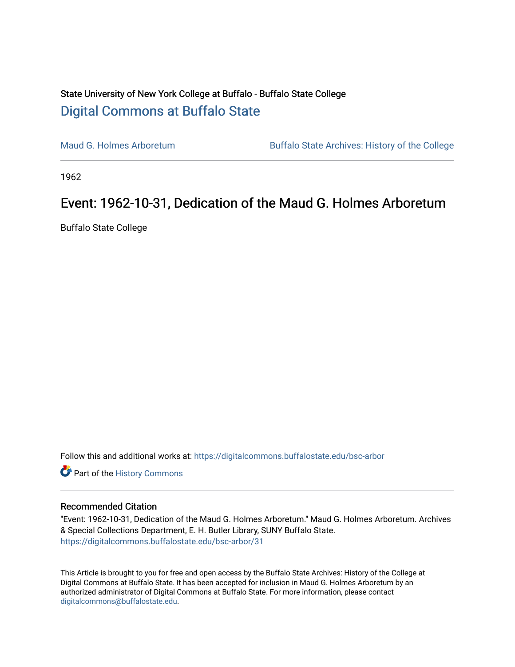## State University of New York College at Buffalo - Buffalo State College [Digital Commons at Buffalo State](https://digitalcommons.buffalostate.edu/)

[Maud G. Holmes Arboretum](https://digitalcommons.buffalostate.edu/bsc-arbor) Buffalo State Archives: History of the College

1962

## Event: 1962-10-31, Dedication of the Maud G. Holmes Arboretum

Buffalo State College

Follow this and additional works at: [https://digitalcommons.buffalostate.edu/bsc-arbor](https://digitalcommons.buffalostate.edu/bsc-arbor?utm_source=digitalcommons.buffalostate.edu%2Fbsc-arbor%2F31&utm_medium=PDF&utm_campaign=PDFCoverPages) 

Part of the [History Commons](http://network.bepress.com/hgg/discipline/489?utm_source=digitalcommons.buffalostate.edu%2Fbsc-arbor%2F31&utm_medium=PDF&utm_campaign=PDFCoverPages) 

## Recommended Citation

"Event: 1962-10-31, Dedication of the Maud G. Holmes Arboretum." Maud G. Holmes Arboretum. Archives & Special Collections Department, E. H. Butler Library, SUNY Buffalo State. [https://digitalcommons.buffalostate.edu/bsc-arbor/31](https://digitalcommons.buffalostate.edu/bsc-arbor/31?utm_source=digitalcommons.buffalostate.edu%2Fbsc-arbor%2F31&utm_medium=PDF&utm_campaign=PDFCoverPages) 

This Article is brought to you for free and open access by the Buffalo State Archives: History of the College at Digital Commons at Buffalo State. It has been accepted for inclusion in Maud G. Holmes Arboretum by an authorized administrator of Digital Commons at Buffalo State. For more information, please contact [digitalcommons@buffalostate.edu.](mailto:digitalcommons@buffalostate.edu)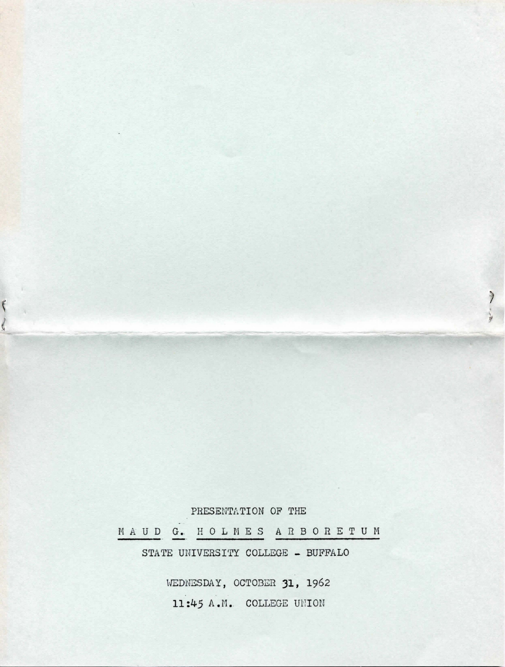PRESENTATION OF THE MAUD G. HOLMES ARBORETUM STATE UNIVERSITY COLLEGE - BUFFALO

 $\frac{1}{2}$ 

WEDNESDAY, OCTOBER 31, 1962 11:45 A.M. COLLEGE UNION